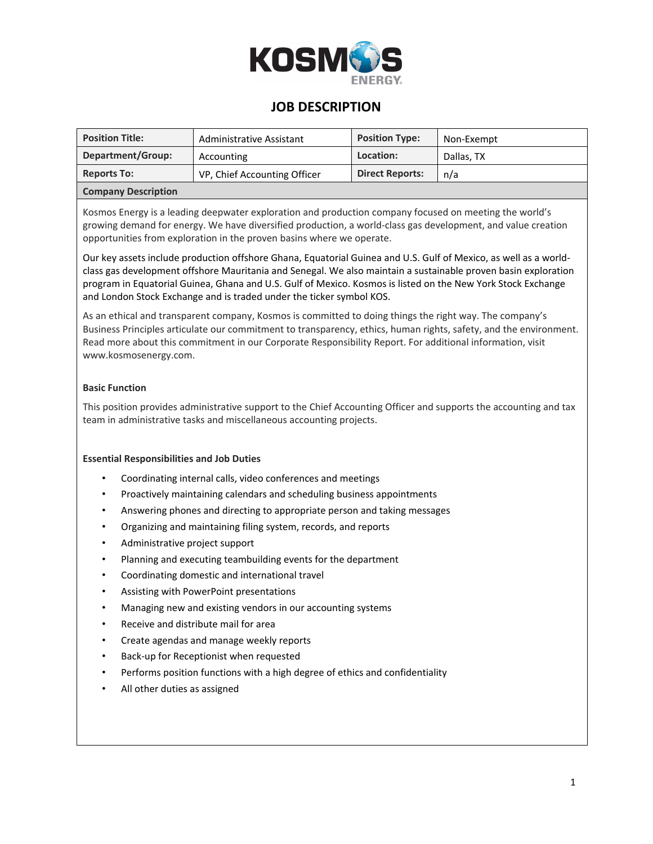

### **JOB DESCRIPTION**

| <b>Position Title:</b>     | Administrative Assistant     | <b>Position Type:</b>  | Non-Exempt |
|----------------------------|------------------------------|------------------------|------------|
| Department/Group:          | Accounting                   | Location:              | Dallas. TX |
| <b>Reports To:</b>         | VP, Chief Accounting Officer | <b>Direct Reports:</b> | n/a        |
| <b>Company Description</b> |                              |                        |            |

Kosmos Energy is a leading deepwater exploration and production company focused on meeting the world's growing demand for energy. We have diversified production, a world-class gas development, and value creation opportunities from exploration in the proven basins where we operate.

Our key assets include production offshore Ghana, Equatorial Guinea and U.S. Gulf of Mexico, as well as a worldclass gas development offshore Mauritania and Senegal. We also maintain a sustainable proven basin exploration program in Equatorial Guinea, Ghana and U.S. Gulf of Mexico. Kosmos is listed on the New York Stock Exchange and London Stock Exchange and is traded under the ticker symbol KOS.

As an ethical and transparent company, Kosmos is committed to doing things the right way. The company's Business Principles articulate our commitment to transparency, ethics, human rights, safety, and the environment. Read more about this commitment in our Corporate Responsibility Report. For additional information, visit www.kosmosenergy.com.

### **Basic Function**

This position provides administrative support to the Chief Accounting Officer and supports the accounting and tax team in administrative tasks and miscellaneous accounting projects.

#### **Essential Responsibilities and Job Duties**

- Coordinating internal calls, video conferences and meetings
- Proactively maintaining calendars and scheduling business appointments
- Answering phones and directing to appropriate person and taking messages
- Organizing and maintaining filing system, records, and reports
- Administrative project support
- Planning and executing teambuilding events for the department
- Coordinating domestic and international travel
- Assisting with PowerPoint presentations
- Managing new and existing vendors in our accounting systems
- Receive and distribute mail for area
- Create agendas and manage weekly reports
- Back-up for Receptionist when requested
- Performs position functions with a high degree of ethics and confidentiality
- All other duties as assigned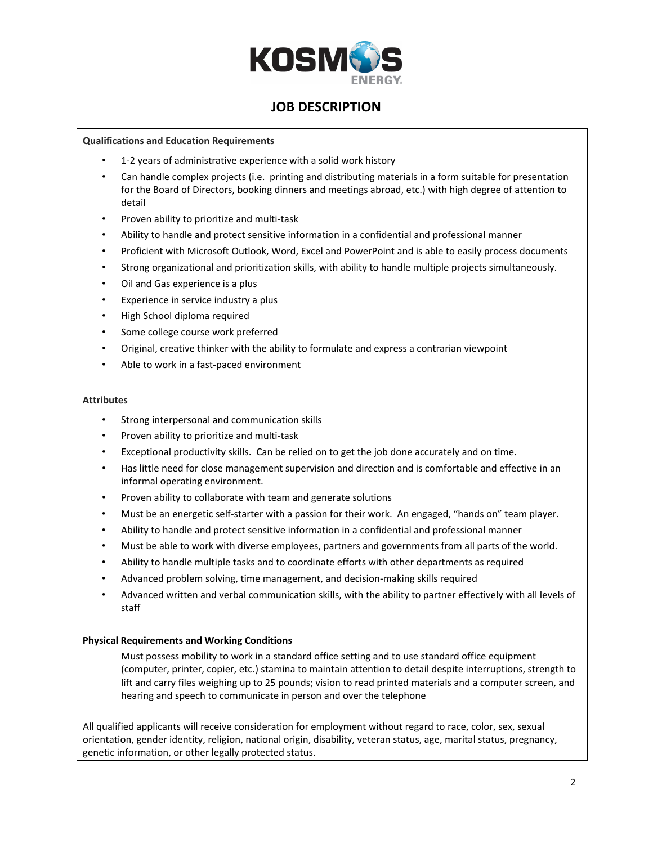

## **JOB DESCRIPTION**

#### **Qualifications and Education Requirements**

- 1-2 years of administrative experience with a solid work history
- Can handle complex projects (i.e. printing and distributing materials in a form suitable for presentation for the Board of Directors, booking dinners and meetings abroad, etc.) with high degree of attention to detail
- Proven ability to prioritize and multi-task
- Ability to handle and protect sensitive information in a confidential and professional manner
- Proficient with Microsoft Outlook, Word, Excel and PowerPoint and is able to easily process documents
- Strong organizational and prioritization skills, with ability to handle multiple projects simultaneously.
- Oil and Gas experience is a plus
- Experience in service industry a plus
- High School diploma required
- Some college course work preferred
- Original, creative thinker with the ability to formulate and express a contrarian viewpoint
- Able to work in a fast-paced environment

#### **Attributes**

- Strong interpersonal and communication skills
- Proven ability to prioritize and multi-task
- Exceptional productivity skills. Can be relied on to get the job done accurately and on time.
- Has little need for close management supervision and direction and is comfortable and effective in an informal operating environment.
- Proven ability to collaborate with team and generate solutions
- Must be an energetic self-starter with a passion for their work. An engaged, "hands on" team player.
- Ability to handle and protect sensitive information in a confidential and professional manner
- Must be able to work with diverse employees, partners and governments from all parts of the world.
- Ability to handle multiple tasks and to coordinate efforts with other departments as required
- Advanced problem solving, time management, and decision-making skills required
- Advanced written and verbal communication skills, with the ability to partner effectively with all levels of staff

### **Physical Requirements and Working Conditions**

Must possess mobility to work in a standard office setting and to use standard office equipment (computer, printer, copier, etc.) stamina to maintain attention to detail despite interruptions, strength to lift and carry files weighing up to 25 pounds; vision to read printed materials and a computer screen, and hearing and speech to communicate in person and over the telephone

All qualified applicants will receive consideration for employment without regard to race, color, sex, sexual orientation, gender identity, religion, national origin, disability, veteran status, age, marital status, pregnancy, genetic information, or other legally protected status.